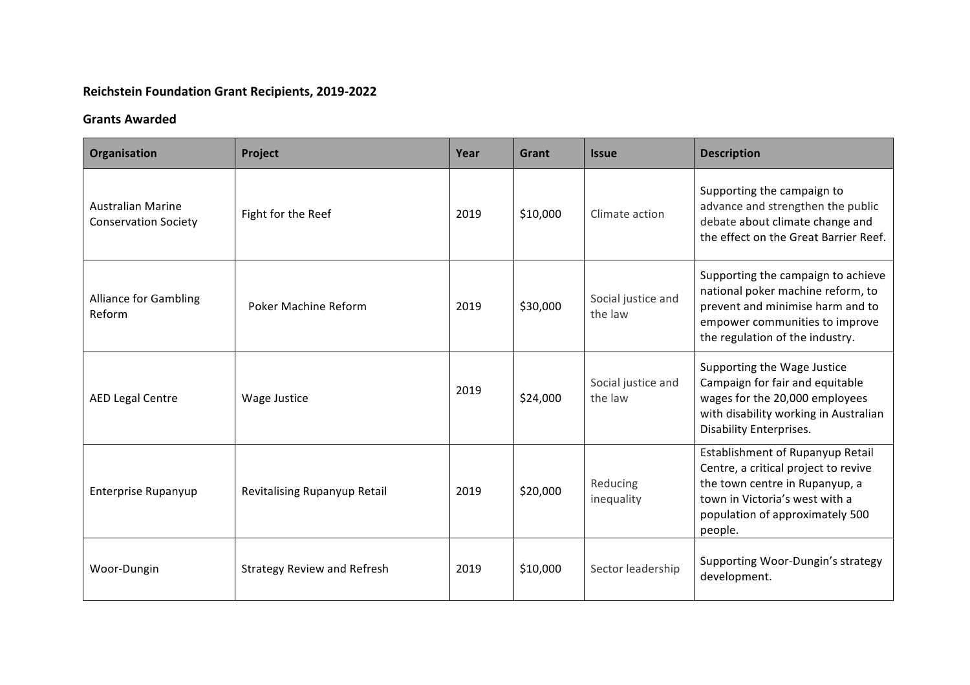## **Reichstein Foundation Grant Recipients, 2019-2022**

## **Grants Awarded**

| Organisation                                            | Project                            | Year | Grant    | <b>Issue</b>                  | <b>Description</b>                                                                                                                                                                         |
|---------------------------------------------------------|------------------------------------|------|----------|-------------------------------|--------------------------------------------------------------------------------------------------------------------------------------------------------------------------------------------|
| <b>Australian Marine</b><br><b>Conservation Society</b> | Fight for the Reef                 | 2019 | \$10,000 | Climate action                | Supporting the campaign to<br>advance and strengthen the public<br>debate about climate change and<br>the effect on the Great Barrier Reef.                                                |
| <b>Alliance for Gambling</b><br>Reform                  | Poker Machine Reform               | 2019 | \$30,000 | Social justice and<br>the law | Supporting the campaign to achieve<br>national poker machine reform, to<br>prevent and minimise harm and to<br>empower communities to improve<br>the regulation of the industry.           |
| <b>AED Legal Centre</b>                                 | Wage Justice                       | 2019 | \$24,000 | Social justice and<br>the law | Supporting the Wage Justice<br>Campaign for fair and equitable<br>wages for the 20,000 employees<br>with disability working in Australian<br><b>Disability Enterprises.</b>                |
| <b>Enterprise Rupanyup</b>                              | Revitalising Rupanyup Retail       | 2019 | \$20,000 | Reducing<br>inequality        | Establishment of Rupanyup Retail<br>Centre, a critical project to revive<br>the town centre in Rupanyup, a<br>town in Victoria's west with a<br>population of approximately 500<br>people. |
| Woor-Dungin                                             | <b>Strategy Review and Refresh</b> | 2019 | \$10,000 | Sector leadership             | Supporting Woor-Dungin's strategy<br>development.                                                                                                                                          |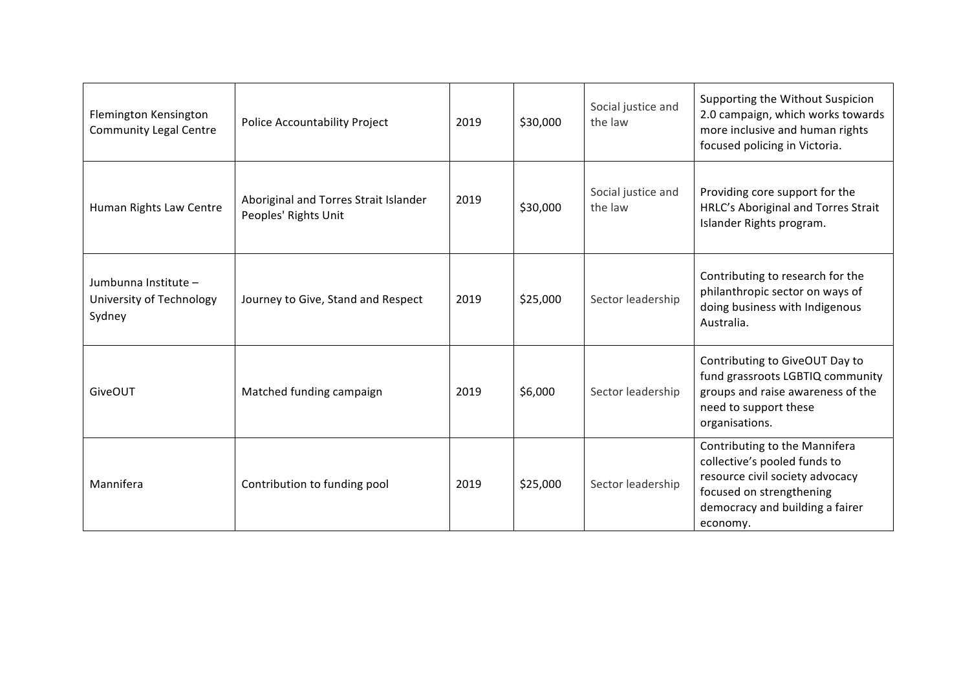| Flemington Kensington<br><b>Community Legal Centre</b>     | <b>Police Accountability Project</b>                          | 2019 | \$30,000 | Social justice and<br>the law | Supporting the Without Suspicion<br>2.0 campaign, which works towards<br>more inclusive and human rights<br>focused policing in Victoria.                                   |
|------------------------------------------------------------|---------------------------------------------------------------|------|----------|-------------------------------|-----------------------------------------------------------------------------------------------------------------------------------------------------------------------------|
| Human Rights Law Centre                                    | Aboriginal and Torres Strait Islander<br>Peoples' Rights Unit | 2019 | \$30,000 | Social justice and<br>the law | Providing core support for the<br>HRLC's Aboriginal and Torres Strait<br>Islander Rights program.                                                                           |
| Jumbunna Institute -<br>University of Technology<br>Sydney | Journey to Give, Stand and Respect                            | 2019 | \$25,000 | Sector leadership             | Contributing to research for the<br>philanthropic sector on ways of<br>doing business with Indigenous<br>Australia.                                                         |
| <b>GiveOUT</b>                                             | Matched funding campaign                                      | 2019 | \$6,000  | Sector leadership             | Contributing to GiveOUT Day to<br>fund grassroots LGBTIQ community<br>groups and raise awareness of the<br>need to support these<br>organisations.                          |
| Mannifera                                                  | Contribution to funding pool                                  | 2019 | \$25,000 | Sector leadership             | Contributing to the Mannifera<br>collective's pooled funds to<br>resource civil society advocacy<br>focused on strengthening<br>democracy and building a fairer<br>economy. |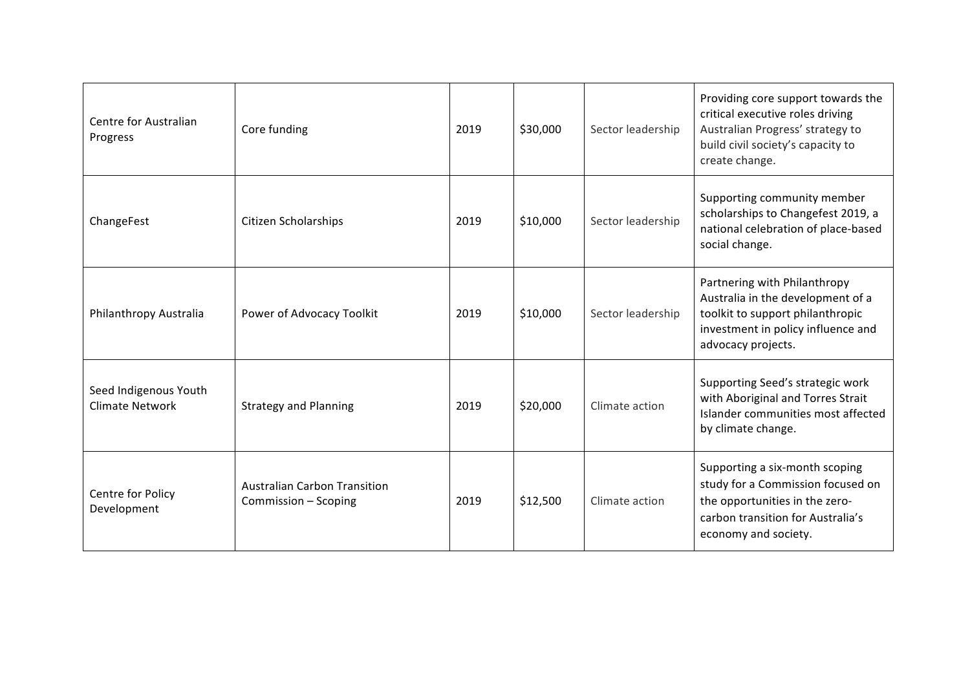| Centre for Australian<br>Progress               | Core funding                                                | 2019 | \$30,000 | Sector leadership | Providing core support towards the<br>critical executive roles driving<br>Australian Progress' strategy to<br>build civil society's capacity to<br>create change.  |
|-------------------------------------------------|-------------------------------------------------------------|------|----------|-------------------|--------------------------------------------------------------------------------------------------------------------------------------------------------------------|
| ChangeFest                                      | <b>Citizen Scholarships</b>                                 | 2019 | \$10,000 | Sector leadership | Supporting community member<br>scholarships to Changefest 2019, a<br>national celebration of place-based<br>social change.                                         |
| Philanthropy Australia                          | Power of Advocacy Toolkit                                   | 2019 | \$10,000 | Sector leadership | Partnering with Philanthropy<br>Australia in the development of a<br>toolkit to support philanthropic<br>investment in policy influence and<br>advocacy projects.  |
| Seed Indigenous Youth<br><b>Climate Network</b> | <b>Strategy and Planning</b>                                | 2019 | \$20,000 | Climate action    | Supporting Seed's strategic work<br>with Aboriginal and Torres Strait<br>Islander communities most affected<br>by climate change.                                  |
| Centre for Policy<br>Development                | <b>Australian Carbon Transition</b><br>Commission - Scoping | 2019 | \$12,500 | Climate action    | Supporting a six-month scoping<br>study for a Commission focused on<br>the opportunities in the zero-<br>carbon transition for Australia's<br>economy and society. |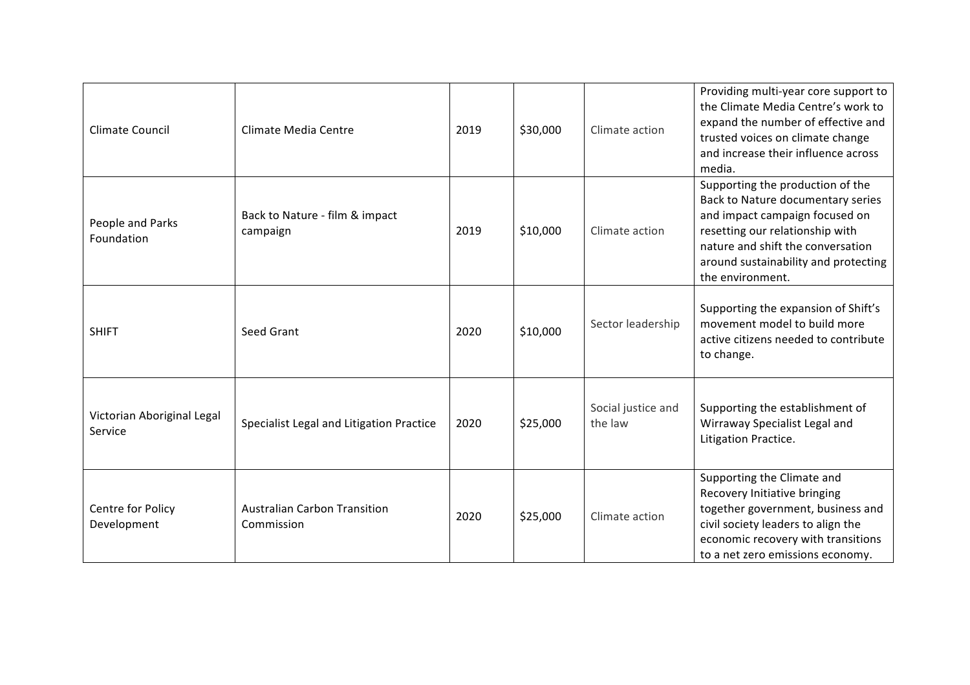| Climate Council                       | Climate Media Centre                              | 2019 | \$30,000 | Climate action                | Providing multi-year core support to<br>the Climate Media Centre's work to<br>expand the number of effective and<br>trusted voices on climate change<br>and increase their influence across<br>media.                                       |
|---------------------------------------|---------------------------------------------------|------|----------|-------------------------------|---------------------------------------------------------------------------------------------------------------------------------------------------------------------------------------------------------------------------------------------|
| People and Parks<br>Foundation        | Back to Nature - film & impact<br>campaign        | 2019 | \$10,000 | Climate action                | Supporting the production of the<br>Back to Nature documentary series<br>and impact campaign focused on<br>resetting our relationship with<br>nature and shift the conversation<br>around sustainability and protecting<br>the environment. |
| <b>SHIFT</b>                          | Seed Grant                                        | 2020 | \$10,000 | Sector leadership             | Supporting the expansion of Shift's<br>movement model to build more<br>active citizens needed to contribute<br>to change.                                                                                                                   |
| Victorian Aboriginal Legal<br>Service | Specialist Legal and Litigation Practice          | 2020 | \$25,000 | Social justice and<br>the law | Supporting the establishment of<br>Wirraway Specialist Legal and<br>Litigation Practice.                                                                                                                                                    |
| Centre for Policy<br>Development      | <b>Australian Carbon Transition</b><br>Commission | 2020 | \$25,000 | Climate action                | Supporting the Climate and<br>Recovery Initiative bringing<br>together government, business and<br>civil society leaders to align the<br>economic recovery with transitions<br>to a net zero emissions economy.                             |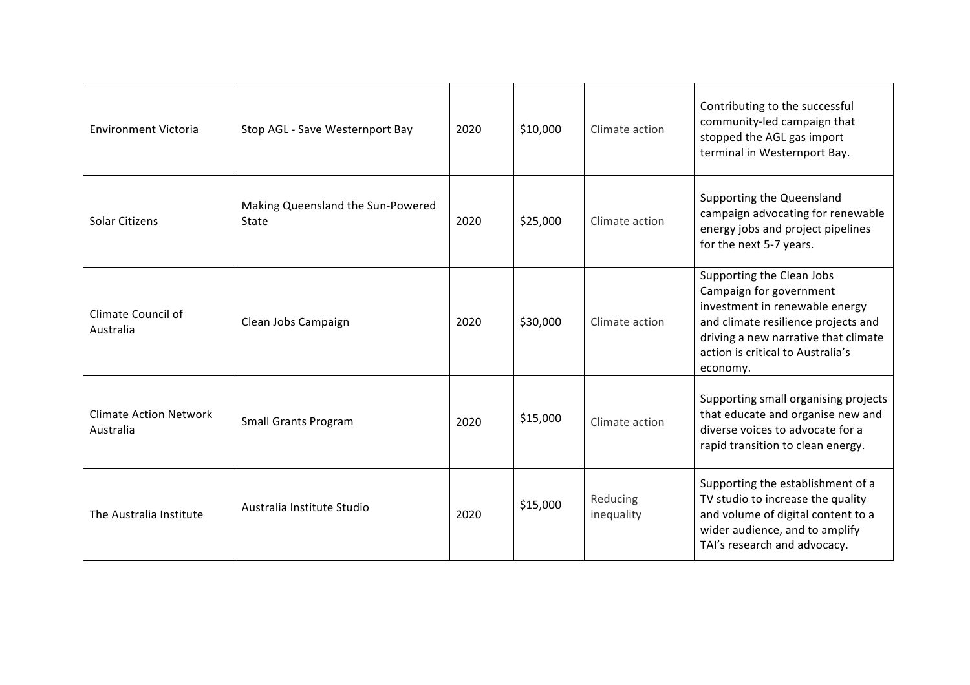| <b>Environment Victoria</b>                | Stop AGL - Save Westernport Bay            | 2020 | \$10,000 | Climate action         | Contributing to the successful<br>community-led campaign that<br>stopped the AGL gas import<br>terminal in Westernport Bay.                                                                                            |
|--------------------------------------------|--------------------------------------------|------|----------|------------------------|------------------------------------------------------------------------------------------------------------------------------------------------------------------------------------------------------------------------|
| Solar Citizens                             | Making Queensland the Sun-Powered<br>State | 2020 | \$25,000 | Climate action         | Supporting the Queensland<br>campaign advocating for renewable<br>energy jobs and project pipelines<br>for the next 5-7 years.                                                                                         |
| Climate Council of<br>Australia            | Clean Jobs Campaign                        | 2020 | \$30,000 | Climate action         | Supporting the Clean Jobs<br>Campaign for government<br>investment in renewable energy<br>and climate resilience projects and<br>driving a new narrative that climate<br>action is critical to Australia's<br>economy. |
| <b>Climate Action Network</b><br>Australia | <b>Small Grants Program</b>                | 2020 | \$15,000 | Climate action         | Supporting small organising projects<br>that educate and organise new and<br>diverse voices to advocate for a<br>rapid transition to clean energy.                                                                     |
| The Australia Institute                    | Australia Institute Studio                 | 2020 | \$15,000 | Reducing<br>inequality | Supporting the establishment of a<br>TV studio to increase the quality<br>and volume of digital content to a<br>wider audience, and to amplify<br>TAI's research and advocacy.                                         |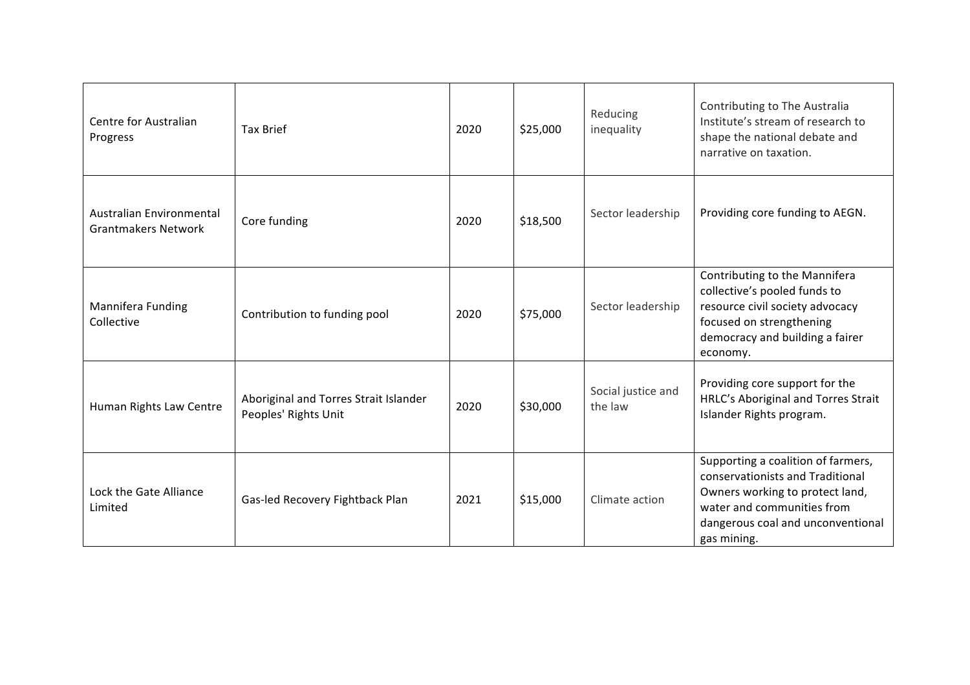| Centre for Australian<br>Progress                      | <b>Tax Brief</b>                                              | 2020 | \$25,000 | Reducing<br>inequality        | Contributing to The Australia<br>Institute's stream of research to<br>shape the national debate and<br>narrative on taxation.                                                               |
|--------------------------------------------------------|---------------------------------------------------------------|------|----------|-------------------------------|---------------------------------------------------------------------------------------------------------------------------------------------------------------------------------------------|
| Australian Environmental<br><b>Grantmakers Network</b> | Core funding                                                  | 2020 | \$18,500 | Sector leadership             | Providing core funding to AEGN.                                                                                                                                                             |
| Mannifera Funding<br>Collective                        | Contribution to funding pool                                  | 2020 | \$75,000 | Sector leadership             | Contributing to the Mannifera<br>collective's pooled funds to<br>resource civil society advocacy<br>focused on strengthening<br>democracy and building a fairer<br>economy.                 |
| Human Rights Law Centre                                | Aboriginal and Torres Strait Islander<br>Peoples' Rights Unit | 2020 | \$30,000 | Social justice and<br>the law | Providing core support for the<br>HRLC's Aboriginal and Torres Strait<br>Islander Rights program.                                                                                           |
| Lock the Gate Alliance<br>Limited                      | Gas-led Recovery Fightback Plan                               | 2021 | \$15,000 | Climate action                | Supporting a coalition of farmers,<br>conservationists and Traditional<br>Owners working to protect land,<br>water and communities from<br>dangerous coal and unconventional<br>gas mining. |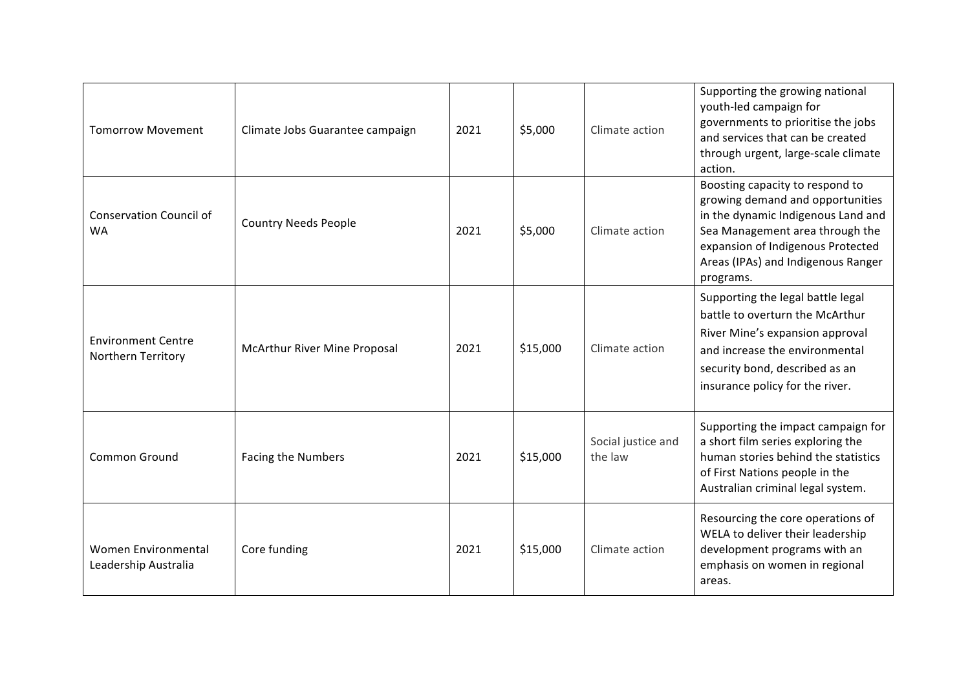| <b>Tomorrow Movement</b>                        | Climate Jobs Guarantee campaign     | 2021 | \$5,000  | Climate action                | Supporting the growing national<br>youth-led campaign for<br>governments to prioritise the jobs<br>and services that can be created<br>through urgent, large-scale climate<br>action.                                                |
|-------------------------------------------------|-------------------------------------|------|----------|-------------------------------|--------------------------------------------------------------------------------------------------------------------------------------------------------------------------------------------------------------------------------------|
| <b>Conservation Council of</b><br><b>WA</b>     | <b>Country Needs People</b>         | 2021 | \$5,000  | Climate action                | Boosting capacity to respond to<br>growing demand and opportunities<br>in the dynamic Indigenous Land and<br>Sea Management area through the<br>expansion of Indigenous Protected<br>Areas (IPAs) and Indigenous Ranger<br>programs. |
| <b>Environment Centre</b><br>Northern Territory | <b>McArthur River Mine Proposal</b> | 2021 | \$15,000 | Climate action                | Supporting the legal battle legal<br>battle to overturn the McArthur<br>River Mine's expansion approval<br>and increase the environmental<br>security bond, described as an<br>insurance policy for the river.                       |
| Common Ground                                   | <b>Facing the Numbers</b>           | 2021 | \$15,000 | Social justice and<br>the law | Supporting the impact campaign for<br>a short film series exploring the<br>human stories behind the statistics<br>of First Nations people in the<br>Australian criminal legal system.                                                |
| Women Environmental<br>Leadership Australia     | Core funding                        | 2021 | \$15,000 | Climate action                | Resourcing the core operations of<br>WELA to deliver their leadership<br>development programs with an<br>emphasis on women in regional<br>areas.                                                                                     |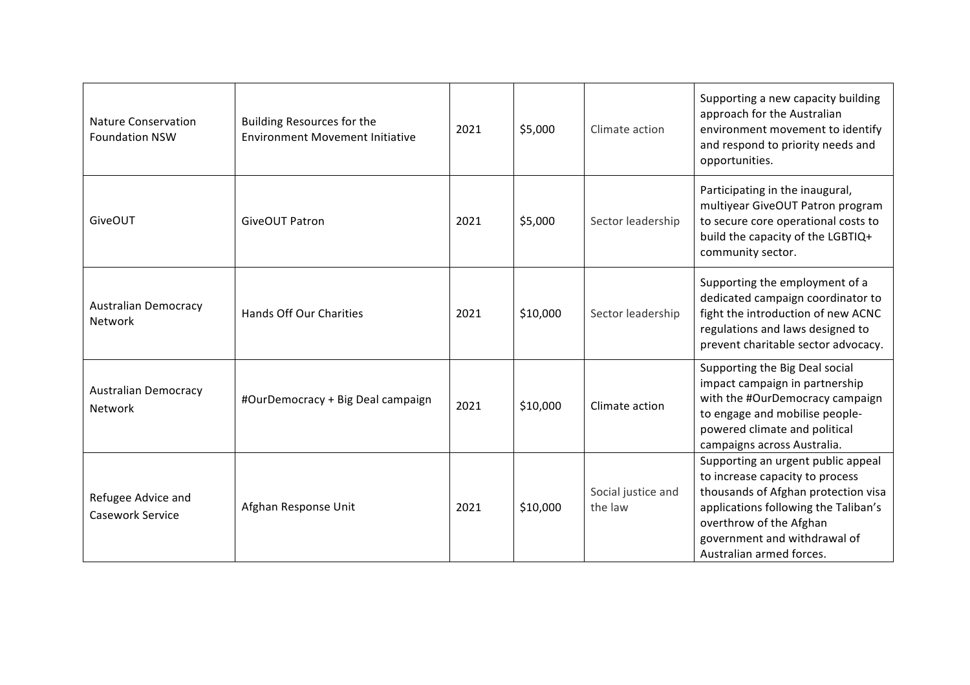| <b>Nature Conservation</b><br><b>Foundation NSW</b> | <b>Building Resources for the</b><br><b>Environment Movement Initiative</b> | 2021 | \$5,000  | Climate action                | Supporting a new capacity building<br>approach for the Australian<br>environment movement to identify<br>and respond to priority needs and<br>opportunities.                                                                                |
|-----------------------------------------------------|-----------------------------------------------------------------------------|------|----------|-------------------------------|---------------------------------------------------------------------------------------------------------------------------------------------------------------------------------------------------------------------------------------------|
| GiveOUT                                             | <b>GiveOUT Patron</b>                                                       | 2021 | \$5,000  | Sector leadership             | Participating in the inaugural,<br>multiyear GiveOUT Patron program<br>to secure core operational costs to<br>build the capacity of the LGBTIQ+<br>community sector.                                                                        |
| <b>Australian Democracy</b><br>Network              | Hands Off Our Charities                                                     | 2021 | \$10,000 | Sector leadership             | Supporting the employment of a<br>dedicated campaign coordinator to<br>fight the introduction of new ACNC<br>regulations and laws designed to<br>prevent charitable sector advocacy.                                                        |
| <b>Australian Democracy</b><br>Network              | #OurDemocracy + Big Deal campaign                                           | 2021 | \$10,000 | Climate action                | Supporting the Big Deal social<br>impact campaign in partnership<br>with the #OurDemocracy campaign<br>to engage and mobilise people-<br>powered climate and political<br>campaigns across Australia.                                       |
| Refugee Advice and<br><b>Casework Service</b>       | Afghan Response Unit                                                        | 2021 | \$10,000 | Social justice and<br>the law | Supporting an urgent public appeal<br>to increase capacity to process<br>thousands of Afghan protection visa<br>applications following the Taliban's<br>overthrow of the Afghan<br>government and withdrawal of<br>Australian armed forces. |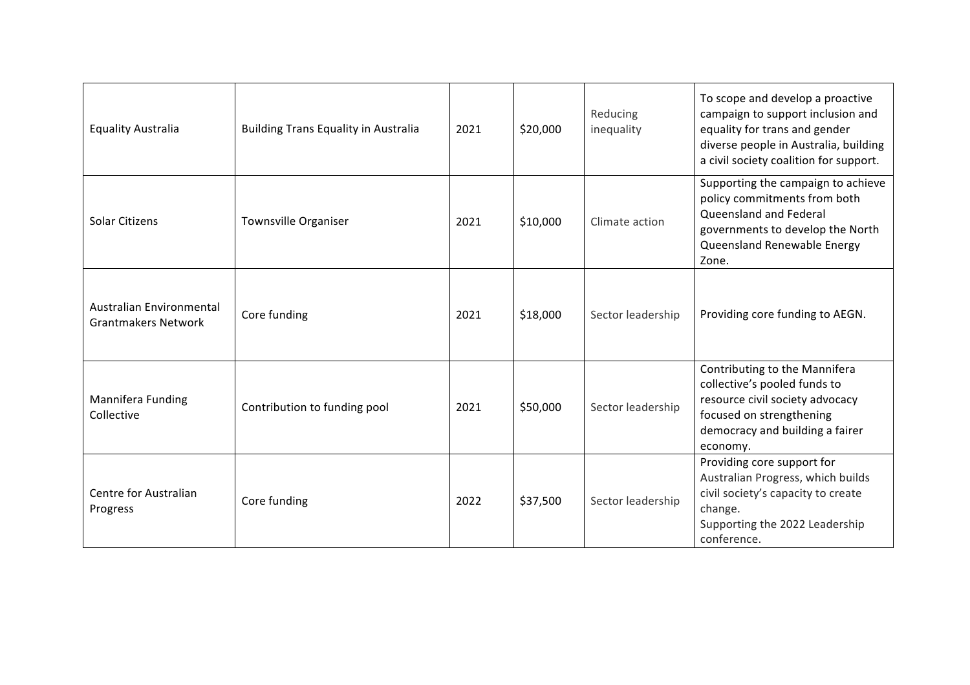| <b>Equality Australia</b>                              | <b>Building Trans Equality in Australia</b> | 2021 | \$20,000 | Reducing<br>inequality | To scope and develop a proactive<br>campaign to support inclusion and<br>equality for trans and gender<br>diverse people in Australia, building<br>a civil society coalition for support. |
|--------------------------------------------------------|---------------------------------------------|------|----------|------------------------|-------------------------------------------------------------------------------------------------------------------------------------------------------------------------------------------|
| Solar Citizens                                         | <b>Townsville Organiser</b>                 | 2021 | \$10,000 | Climate action         | Supporting the campaign to achieve<br>policy commitments from both<br>Queensland and Federal<br>governments to develop the North<br>Queensland Renewable Energy<br>Zone.                  |
| Australian Environmental<br><b>Grantmakers Network</b> | Core funding                                | 2021 | \$18,000 | Sector leadership      | Providing core funding to AEGN.                                                                                                                                                           |
| Mannifera Funding<br>Collective                        | Contribution to funding pool                | 2021 | \$50,000 | Sector leadership      | Contributing to the Mannifera<br>collective's pooled funds to<br>resource civil society advocacy<br>focused on strengthening<br>democracy and building a fairer<br>economy.               |
| Centre for Australian<br>Progress                      | Core funding                                | 2022 | \$37,500 | Sector leadership      | Providing core support for<br>Australian Progress, which builds<br>civil society's capacity to create<br>change.<br>Supporting the 2022 Leadership<br>conference.                         |